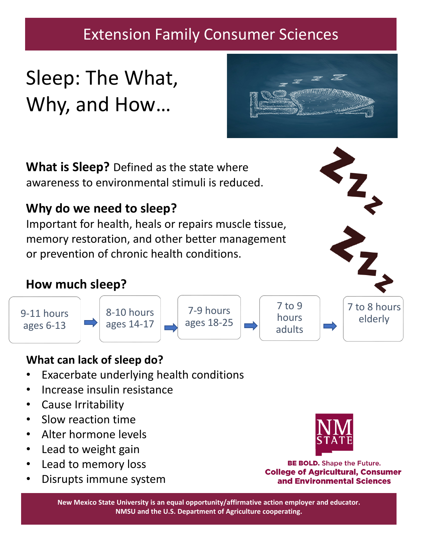# Extension Family Consumer Sciences

# Sleep: The What, Why, and How…

**What is Sleep?** Defined as the state where awareness to environmental stimuli is reduced.

## **Why do we need to sleep?**

Important for health, heals or repairs muscle tissue, memory restoration, and other better management or prevention of chronic health conditions.

### **How much sleep?**

9-11 hours ages 6-13



7-9 hours ages 18-25

7 to 9 hours adults 7 to 8 hours elderly

#### **What can lack of sleep do?**

- Exacerbate underlying health conditions
- Increase insulin resistance
- Cause Irritability
- Slow reaction time
- Alter hormone levels
- Lead to weight gain
- Lead to memory loss
- Disrupts immune system



**BE BOLD.** Shape the Future. **College of Agricultural, Consumer** and Environmental Sciences

**New Mexico State University is an equal opportunity/affirmative action employer and educator. NMSU and the U.S. Department of Agriculture cooperating.**